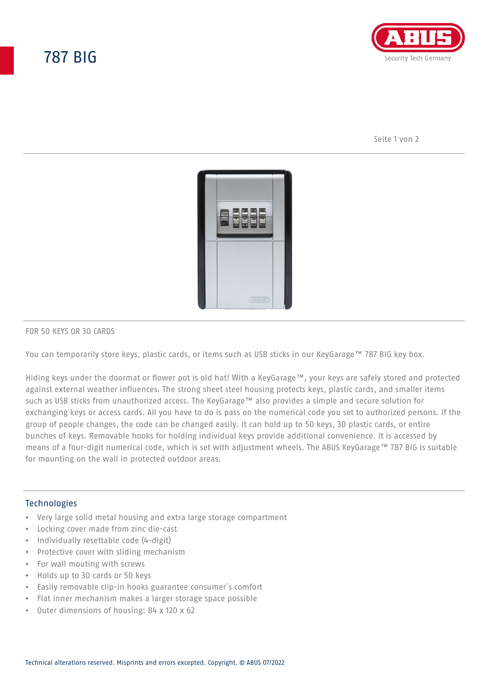## 787 BIG



Seite 1 von 2



### FOR 50 KEYS OR 30 CARDS

You can temporarily store keys, plastic cards, or items such as USB sticks in our KeyGarage™ 787 BIG key box.

Hiding keys under the doormat or flower pot is old hat! With a KeyGarage™, your keys are safely stored and protected against external weather influences. The strong sheet steel housing protects keys, plastic cards, and smaller items such as USB sticks from unauthorized access. The KeyGarage™ also provides a simple and secure solution for exchanging keys or access cards. All you have to do is pass on the numerical code you set to authorized persons. If the group of people changes, the code can be changed easily. It can hold up to 50 keys, 30 plastic cards, or entire bunches of keys. Removable hooks for holding individual keys provide additional convenience. It is accessed by means of a four-digit numerical code, which is set with adjustment wheels. The ABUS KeyGarage™ 787 BIG is suitable for mounting on the wall in protected outdoor areas.

### **Technologies**

- Very large solid metal housing and extra large storage compartment
- Locking cover made from zinc die-cast
- Individually resettable code (4-digit)
- Protective cover with sliding mechanism
- For wall mouting with screws
- Holds up to 30 cards or 50 keys
- Easily removable clip-in hooks guarantee consumer´s comfort
- Flat inner mechanism makes a larger storage space possible
- Outer dimensions of housing: 84 x 120 x 62